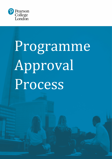

# Programme Approval Process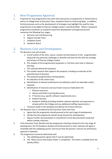# 1. New Programme Approval

- 1. Proposals for new programmes may stem from discussions at programme or School level as well as at College level at Executive Team, Academic Board or Governing Body. In addition, formal processes such as the development of strategies may highlight the need for new programmes to be added to Pearson College London's overall portfolio. Where a proposed programme constitutes an academic award the development and approval process comprises the following four stages:
	- a. Business Case and Resourcing
	- b. Degree Concept Team
	- c. Validation Panel
	- d. Academic Board

## 2. Business Case and Development

- 1. The Business Case will include:
	- a. A brief outline of the aims, nature, content and key features of the programme(s) along with any particular challenges or benefits and how this fits with the strategy and mission of Pearson College London;
	- b. The mode(s) of the programme(s) proposed i.e. full-time, part-time or distancelearning;
	- c. The rationale behind the proposal;
	- d. The market research that supports the proposal, including an estimate of the potential level of demand;
	- e. The proposed programme(s) starting date(s);
	- f. An indication of the cohort sizes;
	- g. Identification of relevant professional accreditations which are desirable and/or required;
	- h. Identification of resources and any known resource implications for:
		- i. Physical resources;
		- ii. Library and Online Learning Resources;
		- iii. IT Services (e.g. specific software requirements etc.);
		- iv. Student Services;
		- v. Academic Staffing (including whether relevant expertise and experience is already within the College and any additional staffing requirements.)
	- i. Financial model in the template provided by the Finance Director.
- 2. The Business Case is considered by the Executive Team who may:
	- a. Agree that the programme should proceed to the next stage of development;
	- b. Decide that the programme should not go forward for development;
	- c. Require further documentation or amendment to the documentation produced before making a decision.
- 3. If the Executive Team decides that the programme should go forward to the next stage of development, the VP (Academic Quality and Enhancement) or their nominee will agree a timetable with the validating partner and ensure that the partner's process for preliminary approval is followed.
- 4. The programme cannot be advertised until:
	- a. The validating partner agrees that it may be advertised;
	- b. The "Main Course Information Sheet" is completed. This sheet is available from the Quality Office;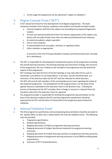c. At this stage the programme can be advertised "subject to validation."

# 3. Degree Concept Team ("DCT")<br>1. A DCT should be formed for the development

- A DCT should be formed for the development of all degree programmes. The team comprises members from industry, academics and students and should normally include:
	- a. Internal academic staff from the subject area (including the proposed Programme Leader);
	- b. At least one external professional from the industry appropriate to the subject area (teams will normally include more than one external professional from industry);
	- c. An external academic subject specialist;
	- d. One or more students;
	- e. A representative from any public, statutory or regulatory body;
	- f. Other members as appropriate.

A nominee of the Vice-Principal (Academic Quality and Enhancement) will, normally, be in attendance.;

- 2. The DCT is responsible for developing the fundamental aspects of the programme including the overall learning outcomes, the learning teaching and assessment strategy, the structure of the programme, the core modules to be included in the programme and the distinctive aspects of the programme.
- 3. DCT meetings may take the form of formal meetings or may take other forms such as workshops, consultation via correspondence. In all cases, records should be kept, as a minimum, of the decisions taken by the DCT and the rationale for these decisions.
- 4. The DCT will consult with members of the Learning Resources team regarding the needs of the proposed programme. The development of the programme(s) is on the basis of the agreed resources submitted to the Executive Team in the Business Case. If during the process of development the DCT considers that a change in resource is required then this should be referred to the Executive Team for approval.
- 5. The programme leader is responsible for drafting the programme documentation on the basis of the decisions made by the DCT and the programme specification should be approved by the DCT and the Dean of School before the programme goes forward for validation.

# 4. Internal Validation Panel<br>1. The final programme specification and

- The final programme specification and accompanying documentation should be provided to the Quality Office no later than 2 weeks before the internal validation event. The following must be provided:
	- a. Programme specification;
	- b. Module specifications;
	- c. Mapping document of FHEQ to programme learning outcomes;
	- d. Mapping document of Subject benchmark statement to programme learning outcomes;
	- e. Mapping document of module learning outcomes to programme learning outcomes;
	- f. Mapping document of programme learning outcomes to any PSRB/accrediting body requirements;
	- g. Summary of DCT minutes/decisions;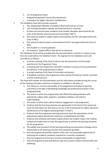- h. CVs of programme team;
- i. Programme Approval Process (this document);
- j. Framework for Higher Education Qualifications.
- 2. The Validation Panel will normally comprise:
	- a. One Independent Member of Academic Board who will act as Chair;
	- b. Vice-Principal (Academic Quality and Enhancement) or nominee;
	- c. At least one internal senior academic from another discipline determined by the Chair of the Review and Enhancement Committee ("REC");
	- d. One external academic subject expert (nominated by the DCT and approved by the Chair of REC);
	- e. One external industry expert (nominated by the DCT and approved by the Chair of REC);
	- f. One Student or a recent graduate;
	- g. An Academic Quality Officer who will act as Secretary.
- 3. The Validation Panel will be provided with the documentation in Section 4.1 above no less than one week before the Validation Event. The Agenda for the Validation event will normally be as follows:
	- a. A private meeting of the Panel to discuss the documentation and formulate questions for the Programme Team;
	- b. A meeting with the Programme Team/DCT members to discuss the documentation and delivery of the programme(s) in detail;
	- c. A private meeting of the Panel to formulate conclusions;
	- d. A feedback meeting to the Programme Team and the Principal (or his/her nominee) on their overall decision.
- 4. The Panel will consider the documentation and the information provided during the course of the meeting and make a decision on whether to validate on the basis of:
	- a. The relevance, currency and validity of the programme (including its learning outcomes) in the light of developing knowledge and professional practice in the designated field;
	- b. The extent to which the programme(s) will effectively equip graduates with appropriate subject skills, expertise, workplace readiness and industry understanding;
	- c. The extent to which there will be industry engagement in the programme;
	- d. Evidence that the learning outcomes are appropriate to the level of the award and meet the descriptors for that level as set out in the Frameworks for Higher Education Qualifications of UK degree-awarding bodies ("FHEQ");
	- e. Evidence that the programme learning outcomes meet the expectations of the appropriate subject benchmark statement, as published by the QAA;
	- f. Evidence that whatever permitted module choices the student makes, the modules studied will enable them to have the opportunity to achieve the learning outcomes for the programme;
	- g. The validity and soundness of the learning teaching and assessment strategy and its relationship to the learning outcomes and standards specified;
	- h. How the programme provides students with a fair and reasonable opportunity of achieving the academic standards required for successful completion;
	- i. How the programme will ensure inclusion and equality of opportunity;
	- j. How the programme load and delivery take into account student mental health and wellbeing;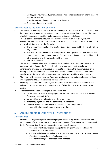- k. Staffing, and how research, scholarship and / or professional activity inform teaching and the curriculum;
- l. The effectiveness of resources to support learning;
- m. The appropriateness of the title.

## Decisions open to the panel and outcome:

- 5. The validation meeting will result in a Validation Report for Academic Board. The report will be drafted by the Secretary to the Panel in conjunction with the other Panelists. The report should be approved by the Chair before proceeding to Academic Board.
- 6. The Validation Report should summarise the discussions which took place, drawing conclusions on the matters identified in Section 4.4 above. The report should recommend to the Academic Board one of the following:
	- a. The programme is validated for a set period of time<sup>[1](#page-4-0)</sup> (specified by the Panel) without any conditions.
	- b. The programme is validated for a set period of time (specified by the Panel) subject to amendments to the programme and/or module specifications or the fulfilment of other conditions to the satisfaction of the Panel.
	- c. Refusal to validate.
- 7. The Panel will specify whether fulfillment of the amendments or conditions needs to be approved by the Chair of the Panel only or by the whole panel electronically. Where amendments are required or approval is subject to conditions, the Chair must sign off in writing that the amendments have been made and/ or conditions have been met to the satisfaction of the Panel before the programme can be approved by Academic Board.
- 8. The report with the accompanying Panel approved programme and module specifications will be presented to Academic Board for final approval.
- 9. Following Academic Board approval, the programme documentation will be sent to the validating partner for approval. Thereafter it will follow the processes of the validating partner.
- 10. After the validating partner's approval, the School will:
	- a. be permitted to advertise the programme without the caveat "subject to validation" (subject to Section 2.4(a));
	- b. be permitted to enroll students on the programme;
	- c. enter the programme into the periodic review schedule;
	- d. undertake annual monitoring after the first full year of operation;
	- e. comply with all other QA processes and procedures.

## 5. Amendments to Approved Programmes

## Major changes

- 1. Proposals for major changes to approved programmes of study must be considered and recommended for approval by the REC prior to submission of the specification for approval by the Academic Board. A major change to a programme includes:
	- a. Any amendment resulting in a change to the programme intended learning outcomes or educational aims.
	- b. A substantial change to the learning or teaching methods (e.g. substantial change of contact hours or change of delivery mode.)
	- c. A substantial change to the assessment methods.

<span id="page-4-0"></span><sup>&</sup>lt;sup>1</sup> The maximum permissible term is 5 years.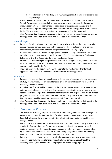- d. A combination of minor changes that, when aggregated, can be considered to be a major change.
- 2. Major changes can be proposed by the programme leader, School Board, or the Dean of School. The programme leader shall prepare a revised programme specification and/or module specifications (as appropriate), a description of the proposed changes and the reasons for the proposed changes and submit these to the REC for approval. After approval by the REC, the papers shall be submitted to the Academic Board for approval.
- 3. After Academic Board approval the documentation will be sent to the validating partner for final approval. Thereafter, it will follow the processes of the validating partner.

#### Minor changes

- 4. Proposals for minor changes are those that do not involve revision of the programme aims and/or intended learning outcomes and/or substantial change to teaching and learning methods and/or assessment methods (as specified in Section 5.1(a)-5.1(c)).
- 5. Where there is doubt as to whether a proposed change to a programme constitutes a minor or major change, advice should be sought from the Vice-Principal (Academic Quality and Enhancement) or the Deputy Vice-Principal (Academic Affairs).
- 6. Proposals for minor changes (as specified in Section 5.4) to approved programmes of study must be approved by the REC following consideration of a revised programme specification and/or module specification/s.
- 7. After REC approval the documentation will be sent to the validating partner for final approval. Thereafter, it will follow the processes of the validating partner.

### New modules

- 8. Proposals for new modules will usually arise in the context of approval of a new programme of study. If a new module is proposed for addition to an existing Programme of Study, the following procedure applies.
- 9. A module specification will be prepared by the Programme Leader who will arrange for an external academic subject expert to review the module specification and prepare a written report. The external report and proposed module specification, together with a draft revised programme specification, will be submitted to the REC for approval. After approval by the REC, the papers shall be submitted to the Academic Board for approval.
- 10. After Academic Board approval, the documentation will be sent to the validating partner for final approval. Thereafter, it will follow the processes of the validating partner.

# 6. Programme Closure<br>1. The Executive Team may propo

- The Executive Team may propose to withdraw or close a programme of study leading to an award, on grounds of, for example, lack of student demand, the programme not being financially viable, or the programme not fitting with the strategy and mission of Pearson College London.
- 2. In such case, the Academic Board must review such proposals and must satisfy itself that the standards of awards directly affected by the proposal and the interests and rights of students registered on the relevant programme, and on other programmes directly affected by the proposed withdrawal or closure, are reasonably safeguarded before determining whether or not to consent to the withdrawal or closure proposed.
- 3. Before reaching a decision to suspend or withdraw academic approval of a programme, the Academic Board should consider the advice of relevant parties including that of the validating partner, the Dean of School, or programme leader, as appropriate.